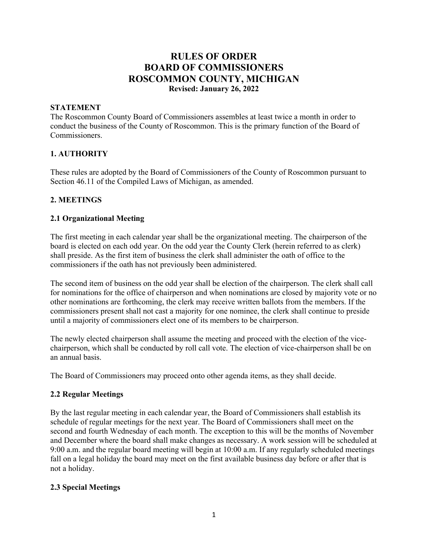# **RULES OF ORDER BOARD OF COMMISSIONERS ROSCOMMON COUNTY, MICHIGAN Revised: January 26, 2022**

#### **STATEMENT**

The Roscommon County Board of Commissioners assembles at least twice a month in order to conduct the business of the County of Roscommon. This is the primary function of the Board of Commissioners.

### **1. AUTHORITY**

These rules are adopted by the Board of Commissioners of the County of Roscommon pursuant to Section 46.11 of the Compiled Laws of Michigan, as amended.

### **2. MEETINGS**

#### **2.1 Organizational Meeting**

The first meeting in each calendar year shall be the organizational meeting. The chairperson of the board is elected on each odd year. On the odd year the County Clerk (herein referred to as clerk) shall preside. As the first item of business the clerk shall administer the oath of office to the commissioners if the oath has not previously been administered.

The second item of business on the odd year shall be election of the chairperson. The clerk shall call for nominations for the office of chairperson and when nominations are closed by majority vote or no other nominations are forthcoming, the clerk may receive written ballots from the members. If the commissioners present shall not cast a majority for one nominee, the clerk shall continue to preside until a majority of commissioners elect one of its members to be chairperson.

The newly elected chairperson shall assume the meeting and proceed with the election of the vicechairperson, which shall be conducted by roll call vote. The election of vice-chairperson shall be on an annual basis.

The Board of Commissioners may proceed onto other agenda items, as they shall decide.

#### **2.2 Regular Meetings**

By the last regular meeting in each calendar year, the Board of Commissioners shall establish its schedule of regular meetings for the next year. The Board of Commissioners shall meet on the second and fourth Wednesday of each month. The exception to this will be the months of November and December where the board shall make changes as necessary. A work session will be scheduled at 9:00 a.m. and the regular board meeting will begin at 10:00 a.m. If any regularly scheduled meetings fall on a legal holiday the board may meet on the first available business day before or after that is not a holiday.

#### **2.3 Special Meetings**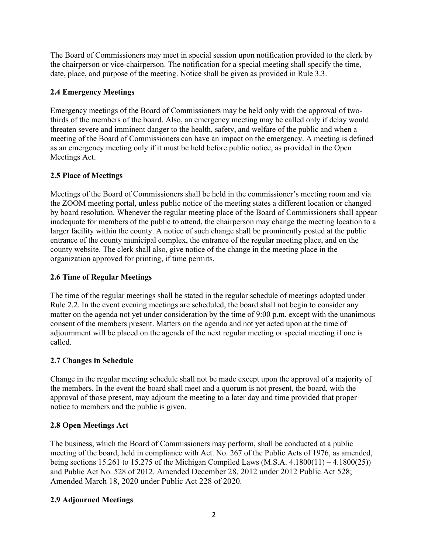The Board of Commissioners may meet in special session upon notification provided to the clerk by the chairperson or vice-chairperson. The notification for a special meeting shall specify the time, date, place, and purpose of the meeting. Notice shall be given as provided in Rule 3.3.

## **2.4 Emergency Meetings**

Emergency meetings of the Board of Commissioners may be held only with the approval of twothirds of the members of the board. Also, an emergency meeting may be called only if delay would threaten severe and imminent danger to the health, safety, and welfare of the public and when a meeting of the Board of Commissioners can have an impact on the emergency. A meeting is defined as an emergency meeting only if it must be held before public notice, as provided in the Open Meetings Act.

## **2.5 Place of Meetings**

Meetings of the Board of Commissioners shall be held in the commissioner's meeting room and via the ZOOM meeting portal, unless public notice of the meeting states a different location or changed by board resolution. Whenever the regular meeting place of the Board of Commissioners shall appear inadequate for members of the public to attend, the chairperson may change the meeting location to a larger facility within the county. A notice of such change shall be prominently posted at the public entrance of the county municipal complex, the entrance of the regular meeting place, and on the county website. The clerk shall also, give notice of the change in the meeting place in the organization approved for printing, if time permits.

## **2.6 Time of Regular Meetings**

The time of the regular meetings shall be stated in the regular schedule of meetings adopted under Rule 2.2. In the event evening meetings are scheduled, the board shall not begin to consider any matter on the agenda not yet under consideration by the time of 9:00 p.m. except with the unanimous consent of the members present. Matters on the agenda and not yet acted upon at the time of adjournment will be placed on the agenda of the next regular meeting or special meeting if one is called.

## **2.7 Changes in Schedule**

Change in the regular meeting schedule shall not be made except upon the approval of a majority of the members. In the event the board shall meet and a quorum is not present, the board, with the approval of those present, may adjourn the meeting to a later day and time provided that proper notice to members and the public is given.

# **2.8 Open Meetings Act**

The business, which the Board of Commissioners may perform, shall be conducted at a public meeting of the board, held in compliance with Act. No. 267 of the Public Acts of 1976, as amended, being sections 15.261 to 15.275 of the Michigan Compiled Laws (M.S.A. 4.1800(11) – 4.1800(25)) and Public Act No. 528 of 2012. Amended December 28, 2012 under 2012 Public Act 528; Amended March 18, 2020 under Public Act 228 of 2020.

## **2.9 Adjourned Meetings**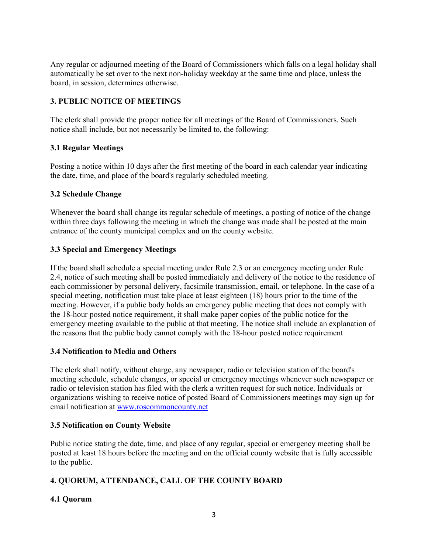Any regular or adjourned meeting of the Board of Commissioners which falls on a legal holiday shall automatically be set over to the next non-holiday weekday at the same time and place, unless the board, in session, determines otherwise.

### **3. PUBLIC NOTICE OF MEETINGS**

The clerk shall provide the proper notice for all meetings of the Board of Commissioners. Such notice shall include, but not necessarily be limited to, the following:

### **3.1 Regular Meetings**

Posting a notice within 10 days after the first meeting of the board in each calendar year indicating the date, time, and place of the board's regularly scheduled meeting.

### **3.2 Schedule Change**

Whenever the board shall change its regular schedule of meetings, a posting of notice of the change within three days following the meeting in which the change was made shall be posted at the main entrance of the county municipal complex and on the county website.

### **3.3 Special and Emergency Meetings**

If the board shall schedule a special meeting under Rule 2.3 or an emergency meeting under Rule 2.4, notice of such meeting shall be posted immediately and delivery of the notice to the residence of each commissioner by personal delivery, facsimile transmission, email, or telephone. In the case of a special meeting, notification must take place at least eighteen (18) hours prior to the time of the meeting. However, if a public body holds an emergency public meeting that does not comply with the 18-hour posted notice requirement, it shall make paper copies of the public notice for the emergency meeting available to the public at that meeting. The notice shall include an explanation of the reasons that the public body cannot comply with the 18-hour posted notice requirement

### **3.4 Notification to Media and Others**

The clerk shall notify, without charge, any newspaper, radio or television station of the board's meeting schedule, schedule changes, or special or emergency meetings whenever such newspaper or radio or television station has filed with the clerk a written request for such notice. Individuals or organizations wishing to receive notice of posted Board of Commissioners meetings may sign up for email notification at [www.roscommoncounty.net](http://www.roscommoncounty.net/)

### **3.5 Notification on County Website**

Public notice stating the date, time, and place of any regular, special or emergency meeting shall be posted at least 18 hours before the meeting and on the official county website that is fully accessible to the public.

## **4. QUORUM, ATTENDANCE, CALL OF THE COUNTY BOARD**

## **4.1 Quorum**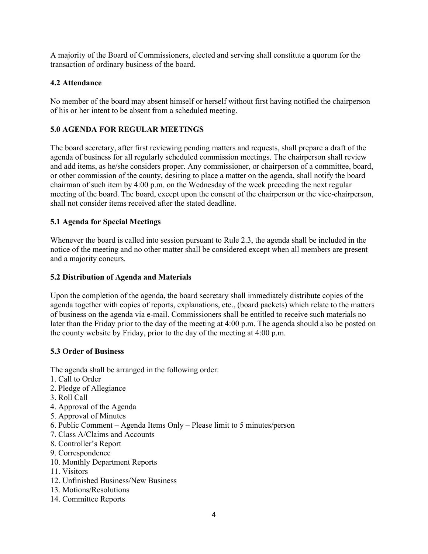A majority of the Board of Commissioners, elected and serving shall constitute a quorum for the transaction of ordinary business of the board.

### **4.2 Attendance**

No member of the board may absent himself or herself without first having notified the chairperson of his or her intent to be absent from a scheduled meeting.

### **5.0 AGENDA FOR REGULAR MEETINGS**

The board secretary, after first reviewing pending matters and requests, shall prepare a draft of the agenda of business for all regularly scheduled commission meetings. The chairperson shall review and add items, as he/she considers proper. Any commissioner, or chairperson of a committee, board, or other commission of the county, desiring to place a matter on the agenda, shall notify the board chairman of such item by 4:00 p.m. on the Wednesday of the week preceding the next regular meeting of the board. The board, except upon the consent of the chairperson or the vice-chairperson, shall not consider items received after the stated deadline.

### **5.1 Agenda for Special Meetings**

Whenever the board is called into session pursuant to Rule 2.3, the agenda shall be included in the notice of the meeting and no other matter shall be considered except when all members are present and a majority concurs.

### **5.2 Distribution of Agenda and Materials**

Upon the completion of the agenda, the board secretary shall immediately distribute copies of the agenda together with copies of reports, explanations, etc., (board packets) which relate to the matters of business on the agenda via e-mail. Commissioners shall be entitled to receive such materials no later than the Friday prior to the day of the meeting at 4:00 p.m. The agenda should also be posted on the county website by Friday, prior to the day of the meeting at 4:00 p.m.

### **5.3 Order of Business**

The agenda shall be arranged in the following order:

- 1. Call to Order
- 2. Pledge of Allegiance
- 3. Roll Call
- 4. Approval of the Agenda
- 5. Approval of Minutes
- 6. Public Comment Agenda Items Only Please limit to 5 minutes/person
- 7. Class A/Claims and Accounts
- 8. Controller's Report
- 9. Correspondence
- 10. Monthly Department Reports
- 11. Visitors
- 12. Unfinished Business/New Business
- 13. Motions/Resolutions
- 14. Committee Reports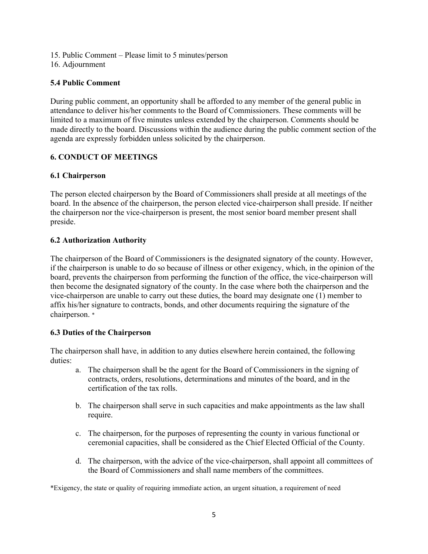- 15. Public Comment Please limit to 5 minutes/person
- 16. Adjournment

### **5.4 Public Comment**

During public comment, an opportunity shall be afforded to any member of the general public in attendance to deliver his/her comments to the Board of Commissioners. These comments will be limited to a maximum of five minutes unless extended by the chairperson. Comments should be made directly to the board. Discussions within the audience during the public comment section of the agenda are expressly forbidden unless solicited by the chairperson.

## **6. CONDUCT OF MEETINGS**

### **6.1 Chairperson**

The person elected chairperson by the Board of Commissioners shall preside at all meetings of the board. In the absence of the chairperson, the person elected vice-chairperson shall preside. If neither the chairperson nor the vice-chairperson is present, the most senior board member present shall preside.

### **6.2 Authorization Authority**

The chairperson of the Board of Commissioners is the designated signatory of the county. However, if the chairperson is unable to do so because of illness or other exigency, which, in the opinion of the board, prevents the chairperson from performing the function of the office, the vice-chairperson will then become the designated signatory of the county. In the case where both the chairperson and the vice-chairperson are unable to carry out these duties, the board may designate one (1) member to affix his/her signature to contracts, bonds, and other documents requiring the signature of the chairperson. \*

### **6.3 Duties of the Chairperson**

The chairperson shall have, in addition to any duties elsewhere herein contained, the following duties:

- a. The chairperson shall be the agent for the Board of Commissioners in the signing of contracts, orders, resolutions, determinations and minutes of the board, and in the certification of the tax rolls.
- b. The chairperson shall serve in such capacities and make appointments as the law shall require.
- c. The chairperson, for the purposes of representing the county in various functional or ceremonial capacities, shall be considered as the Chief Elected Official of the County.
- d. The chairperson, with the advice of the vice-chairperson, shall appoint all committees of the Board of Commissioners and shall name members of the committees.

\*Exigency, the state or quality of requiring immediate action, an urgent situation, a requirement of need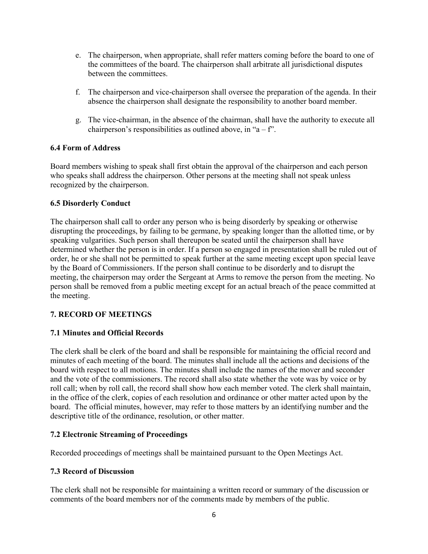- e. The chairperson, when appropriate, shall refer matters coming before the board to one of the committees of the board. The chairperson shall arbitrate all jurisdictional disputes between the committees.
- f. The chairperson and vice-chairperson shall oversee the preparation of the agenda. In their absence the chairperson shall designate the responsibility to another board member.
- g. The vice-chairman, in the absence of the chairman, shall have the authority to execute all chairperson's responsibilities as outlined above, in "a – f".

### **6.4 Form of Address**

Board members wishing to speak shall first obtain the approval of the chairperson and each person who speaks shall address the chairperson. Other persons at the meeting shall not speak unless recognized by the chairperson.

### **6.5 Disorderly Conduct**

The chairperson shall call to order any person who is being disorderly by speaking or otherwise disrupting the proceedings, by failing to be germane, by speaking longer than the allotted time, or by speaking vulgarities. Such person shall thereupon be seated until the chairperson shall have determined whether the person is in order. If a person so engaged in presentation shall be ruled out of order, he or she shall not be permitted to speak further at the same meeting except upon special leave by the Board of Commissioners. If the person shall continue to be disorderly and to disrupt the meeting, the chairperson may order the Sergeant at Arms to remove the person from the meeting. No person shall be removed from a public meeting except for an actual breach of the peace committed at the meeting.

## **7. RECORD OF MEETINGS**

### **7.1 Minutes and Official Records**

The clerk shall be clerk of the board and shall be responsible for maintaining the official record and minutes of each meeting of the board. The minutes shall include all the actions and decisions of the board with respect to all motions. The minutes shall include the names of the mover and seconder and the vote of the commissioners. The record shall also state whether the vote was by voice or by roll call; when by roll call, the record shall show how each member voted. The clerk shall maintain, in the office of the clerk, copies of each resolution and ordinance or other matter acted upon by the board. The official minutes, however, may refer to those matters by an identifying number and the descriptive title of the ordinance, resolution, or other matter.

### **7.2 Electronic Streaming of Proceedings**

Recorded proceedings of meetings shall be maintained pursuant to the Open Meetings Act.

### **7.3 Record of Discussion**

The clerk shall not be responsible for maintaining a written record or summary of the discussion or comments of the board members nor of the comments made by members of the public.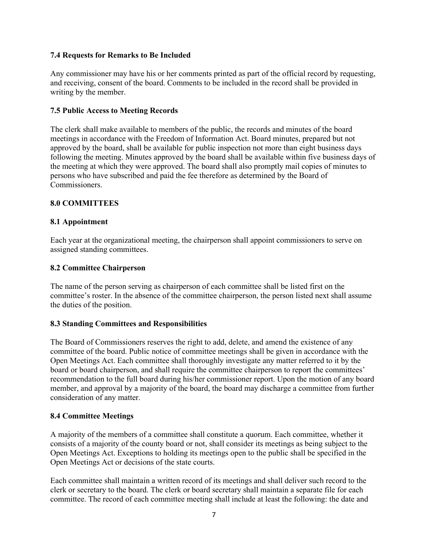### **7.4 Requests for Remarks to Be Included**

Any commissioner may have his or her comments printed as part of the official record by requesting, and receiving, consent of the board. Comments to be included in the record shall be provided in writing by the member.

#### **7.5 Public Access to Meeting Records**

The clerk shall make available to members of the public, the records and minutes of the board meetings in accordance with the Freedom of Information Act. Board minutes, prepared but not approved by the board, shall be available for public inspection not more than eight business days following the meeting. Minutes approved by the board shall be available within five business days of the meeting at which they were approved. The board shall also promptly mail copies of minutes to persons who have subscribed and paid the fee therefore as determined by the Board of Commissioners.

### **8.0 COMMITTEES**

#### **8.1 Appointment**

Each year at the organizational meeting, the chairperson shall appoint commissioners to serve on assigned standing committees.

#### **8.2 Committee Chairperson**

The name of the person serving as chairperson of each committee shall be listed first on the committee's roster. In the absence of the committee chairperson, the person listed next shall assume the duties of the position.

#### **8.3 Standing Committees and Responsibilities**

The Board of Commissioners reserves the right to add, delete, and amend the existence of any committee of the board. Public notice of committee meetings shall be given in accordance with the Open Meetings Act. Each committee shall thoroughly investigate any matter referred to it by the board or board chairperson, and shall require the committee chairperson to report the committees' recommendation to the full board during his/her commissioner report. Upon the motion of any board member, and approval by a majority of the board, the board may discharge a committee from further consideration of any matter.

#### **8.4 Committee Meetings**

A majority of the members of a committee shall constitute a quorum. Each committee, whether it consists of a majority of the county board or not, shall consider its meetings as being subject to the Open Meetings Act. Exceptions to holding its meetings open to the public shall be specified in the Open Meetings Act or decisions of the state courts.

Each committee shall maintain a written record of its meetings and shall deliver such record to the clerk or secretary to the board. The clerk or board secretary shall maintain a separate file for each committee. The record of each committee meeting shall include at least the following: the date and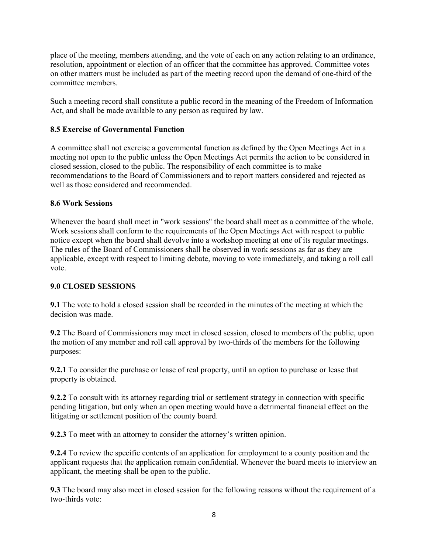place of the meeting, members attending, and the vote of each on any action relating to an ordinance, resolution, appointment or election of an officer that the committee has approved. Committee votes on other matters must be included as part of the meeting record upon the demand of one-third of the committee members.

Such a meeting record shall constitute a public record in the meaning of the Freedom of Information Act, and shall be made available to any person as required by law.

### **8.5 Exercise of Governmental Function**

A committee shall not exercise a governmental function as defined by the Open Meetings Act in a meeting not open to the public unless the Open Meetings Act permits the action to be considered in closed session, closed to the public. The responsibility of each committee is to make recommendations to the Board of Commissioners and to report matters considered and rejected as well as those considered and recommended.

### **8.6 Work Sessions**

Whenever the board shall meet in "work sessions" the board shall meet as a committee of the whole. Work sessions shall conform to the requirements of the Open Meetings Act with respect to public notice except when the board shall devolve into a workshop meeting at one of its regular meetings. The rules of the Board of Commissioners shall be observed in work sessions as far as they are applicable, except with respect to limiting debate, moving to vote immediately, and taking a roll call vote.

### **9.0 CLOSED SESSIONS**

**9.1** The vote to hold a closed session shall be recorded in the minutes of the meeting at which the decision was made.

**9.2** The Board of Commissioners may meet in closed session, closed to members of the public, upon the motion of any member and roll call approval by two-thirds of the members for the following purposes:

**9.2.1** To consider the purchase or lease of real property, until an option to purchase or lease that property is obtained.

**9.2.2** To consult with its attorney regarding trial or settlement strategy in connection with specific pending litigation, but only when an open meeting would have a detrimental financial effect on the litigating or settlement position of the county board.

**9.2.3** To meet with an attorney to consider the attorney's written opinion.

**9.2.4** To review the specific contents of an application for employment to a county position and the applicant requests that the application remain confidential. Whenever the board meets to interview an applicant, the meeting shall be open to the public.

**9.3** The board may also meet in closed session for the following reasons without the requirement of a two-thirds vote: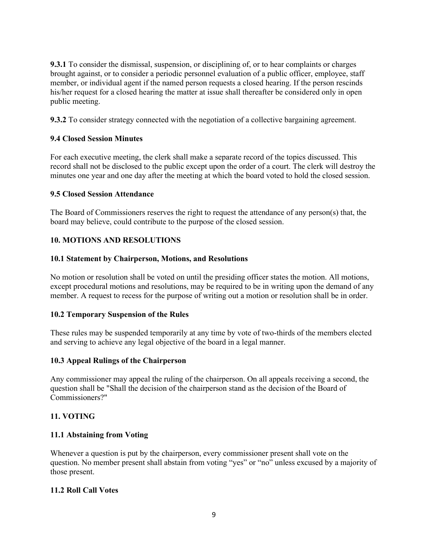**9.3.1** To consider the dismissal, suspension, or disciplining of, or to hear complaints or charges brought against, or to consider a periodic personnel evaluation of a public officer, employee, staff member, or individual agent if the named person requests a closed hearing. If the person rescinds his/her request for a closed hearing the matter at issue shall thereafter be considered only in open public meeting.

**9.3.2** To consider strategy connected with the negotiation of a collective bargaining agreement.

### **9.4 Closed Session Minutes**

For each executive meeting, the clerk shall make a separate record of the topics discussed. This record shall not be disclosed to the public except upon the order of a court. The clerk will destroy the minutes one year and one day after the meeting at which the board voted to hold the closed session.

### **9.5 Closed Session Attendance**

The Board of Commissioners reserves the right to request the attendance of any person(s) that, the board may believe, could contribute to the purpose of the closed session.

### **10. MOTIONS AND RESOLUTIONS**

### **10.1 Statement by Chairperson, Motions, and Resolutions**

No motion or resolution shall be voted on until the presiding officer states the motion. All motions, except procedural motions and resolutions, may be required to be in writing upon the demand of any member. A request to recess for the purpose of writing out a motion or resolution shall be in order.

### **10.2 Temporary Suspension of the Rules**

These rules may be suspended temporarily at any time by vote of two-thirds of the members elected and serving to achieve any legal objective of the board in a legal manner.

### **10.3 Appeal Rulings of the Chairperson**

Any commissioner may appeal the ruling of the chairperson. On all appeals receiving a second, the question shall be "Shall the decision of the chairperson stand as the decision of the Board of Commissioners?"

### **11. VOTING**

### **11.1 Abstaining from Voting**

Whenever a question is put by the chairperson, every commissioner present shall vote on the question. No member present shall abstain from voting "yes" or "no" unless excused by a majority of those present.

### **11.2 Roll Call Votes**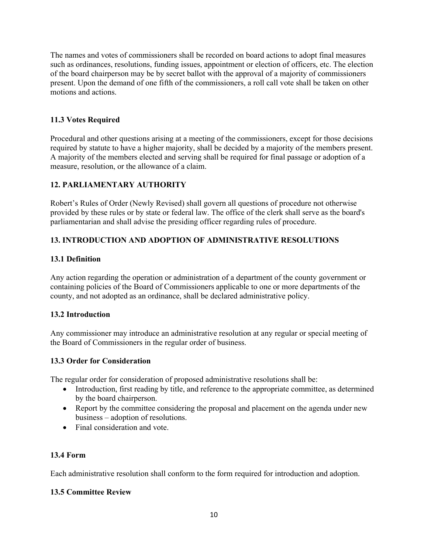The names and votes of commissioners shall be recorded on board actions to adopt final measures such as ordinances, resolutions, funding issues, appointment or election of officers, etc. The election of the board chairperson may be by secret ballot with the approval of a majority of commissioners present. Upon the demand of one fifth of the commissioners, a roll call vote shall be taken on other motions and actions.

### **11.3 Votes Required**

Procedural and other questions arising at a meeting of the commissioners, except for those decisions required by statute to have a higher majority, shall be decided by a majority of the members present. A majority of the members elected and serving shall be required for final passage or adoption of a measure, resolution, or the allowance of a claim.

## **12. PARLIAMENTARY AUTHORITY**

Robert's Rules of Order (Newly Revised) shall govern all questions of procedure not otherwise provided by these rules or by state or federal law. The office of the clerk shall serve as the board's parliamentarian and shall advise the presiding officer regarding rules of procedure.

## **13. INTRODUCTION AND ADOPTION OF ADMINISTRATIVE RESOLUTIONS**

### **13.1 Definition**

Any action regarding the operation or administration of a department of the county government or containing policies of the Board of Commissioners applicable to one or more departments of the county, and not adopted as an ordinance, shall be declared administrative policy.

### **13.2 Introduction**

Any commissioner may introduce an administrative resolution at any regular or special meeting of the Board of Commissioners in the regular order of business.

### **13.3 Order for Consideration**

The regular order for consideration of proposed administrative resolutions shall be:

- Introduction, first reading by title, and reference to the appropriate committee, as determined by the board chairperson.
- Report by the committee considering the proposal and placement on the agenda under new business – adoption of resolutions.
- Final consideration and vote.

### **13.4 Form**

Each administrative resolution shall conform to the form required for introduction and adoption.

### **13.5 Committee Review**